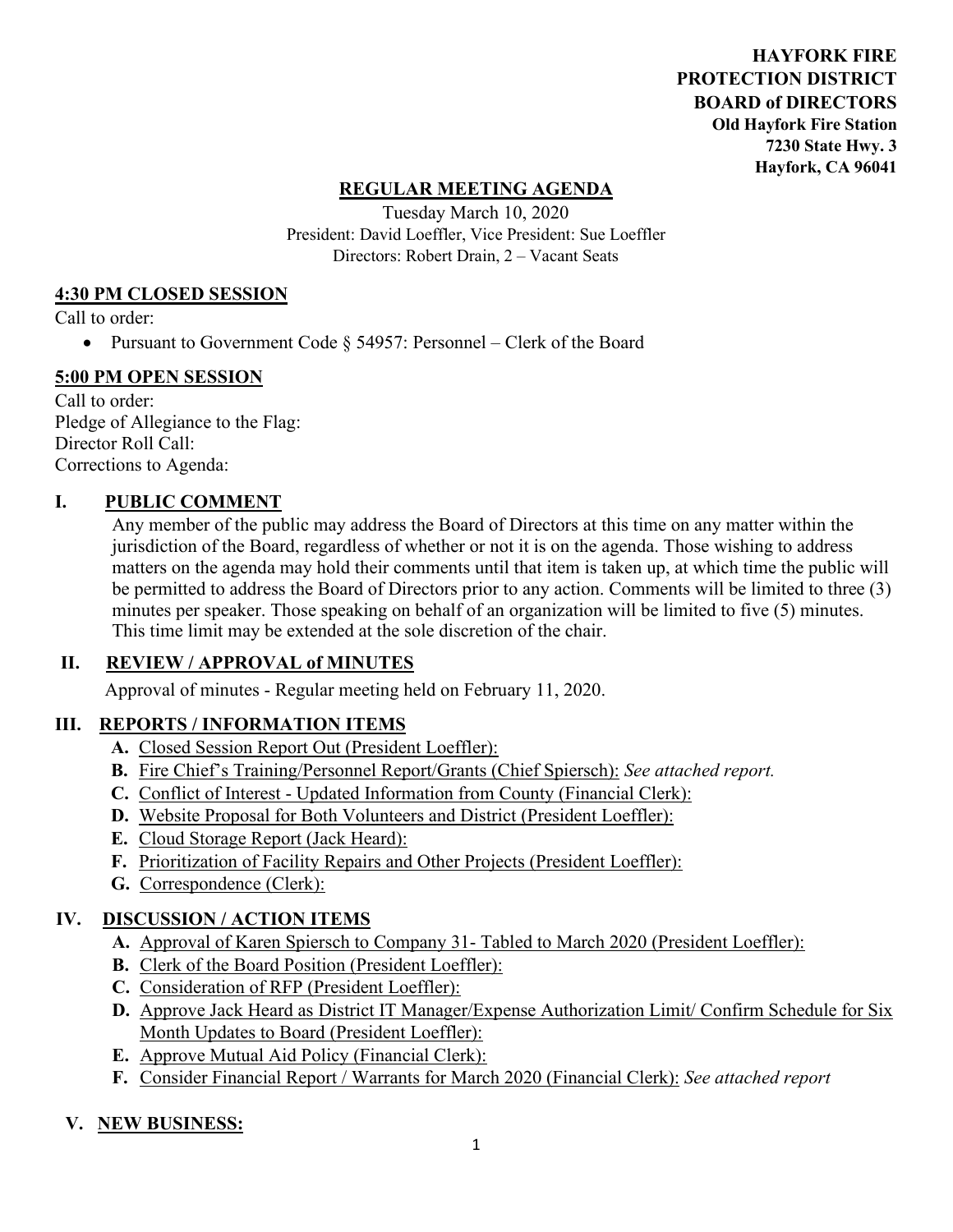**HAYFORK FIRE PROTECTION DISTRICT BOARD of DIRECTORS Old Hayfork Fire Station 7230 State Hwy. 3 Hayfork, CA 96041** 

### **REGULAR MEETING AGENDA**

Tuesday March 10, 2020 President: David Loeffler, Vice President: Sue Loeffler Directors: Robert Drain, 2 – Vacant Seats

### **4:30 PM CLOSED SESSION**

Call to order:

• Pursuant to Government Code § 54957: Personnel – Clerk of the Board

#### **5:00 PM OPEN SESSION**

Call to order: Pledge of Allegiance to the Flag: Director Roll Call: Corrections to Agenda:

### **I. PUBLIC COMMENT**

Any member of the public may address the Board of Directors at this time on any matter within the jurisdiction of the Board, regardless of whether or not it is on the agenda. Those wishing to address matters on the agenda may hold their comments until that item is taken up, at which time the public will be permitted to address the Board of Directors prior to any action. Comments will be limited to three (3) minutes per speaker. Those speaking on behalf of an organization will be limited to five (5) minutes. This time limit may be extended at the sole discretion of the chair.

### **II. REVIEW / APPROVAL of MINUTES**

Approval of minutes - Regular meeting held on February 11, 2020.

### **III. REPORTS / INFORMATION ITEMS**

- **A.** Closed Session Report Out (President Loeffler):
- **B.** Fire Chief's Training/Personnel Report/Grants (Chief Spiersch): *See attached report.*
- **C.** Conflict of Interest Updated Information from County (Financial Clerk):
- **D.** Website Proposal for Both Volunteers and District (President Loeffler):
- **E.** Cloud Storage Report (Jack Heard):
- **F.** Prioritization of Facility Repairs and Other Projects (President Loeffler):
- **G.** Correspondence (Clerk):

### **IV. DISCUSSION / ACTION ITEMS**

- **A.** Approval of Karen Spiersch to Company 31- Tabled to March 2020 (President Loeffler):
- **B.** Clerk of the Board Position (President Loeffler):
- **C.** Consideration of RFP (President Loeffler):
- **D.** Approve Jack Heard as District IT Manager/Expense Authorization Limit/ Confirm Schedule for Six Month Updates to Board (President Loeffler):
- **E.** Approve Mutual Aid Policy (Financial Clerk):
- **F.** Consider Financial Report / Warrants for March 2020 (Financial Clerk): *See attached report*

### **V. NEW BUSINESS:**